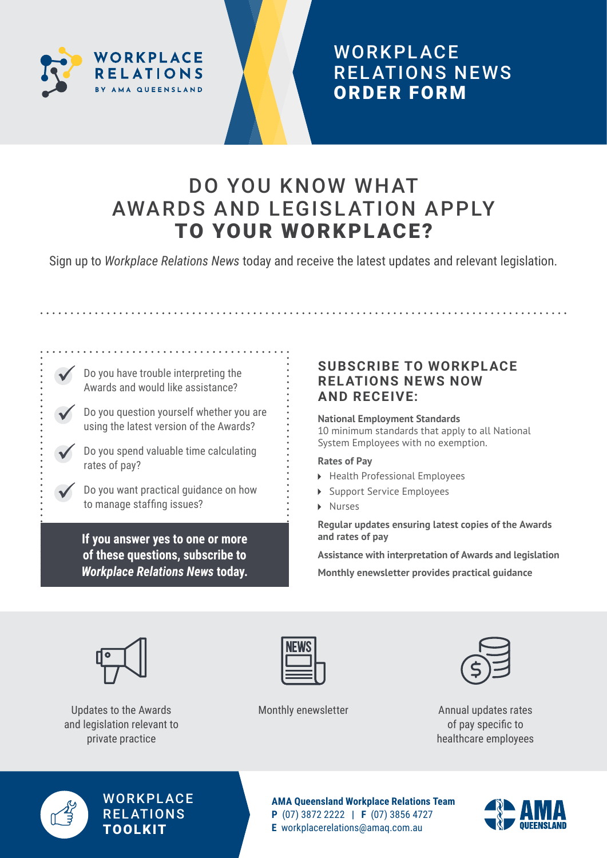

## **WORKPLACE** REL ATIONS NEWS ORDER FORM

# DO YOU KNOW WHAT AWARDS AND LEGISLATION APPLY TO YOUR WORKPLACE?

Sign up to *Workplace Relations News* today and receive the latest updates and relevant legislation.

Do you have trouble interpreting the Awards and would like assistance?

Do you question yourself whether you are using the latest version of the Awards?

Do you spend valuable time calculating rates of pay?

Do you want practical guidance on how to manage staffing issues?

**If you answer yes to one or more of these questions, subscribe to**  *Workplace Relations News* **today.** 

### **SUBSCRIBE TO WORKPLACE RELATIONS NEWS NOW AND RECEIVE:**

#### **National Employment Standards**

10 minimum standards that apply to all National System Employees with no exemption.

#### **Rates of Pay**

- ▶ Health Professional Employees
- Support Service Employees
- Nurses

**Regular updates ensuring latest copies of the Awards and rates of pay**

**Assistance with interpretation of Awards and legislation Monthly enewsletter provides practical guidance**



Updates to the Awards Monthly enewsletter and legislation relevant to private practice





Annual updates rates of pay specific to healthcare employees



**WORKPLACE RELATIONS** TOOLKIT

**AMA Queensland Workplace Relations Team P** (07) 3872 2222 **| F** (07) 3856 4727 **E** [workplacerelations@amaq.com.au](mailto:workplacerelations%40amaq.com.au?subject=)